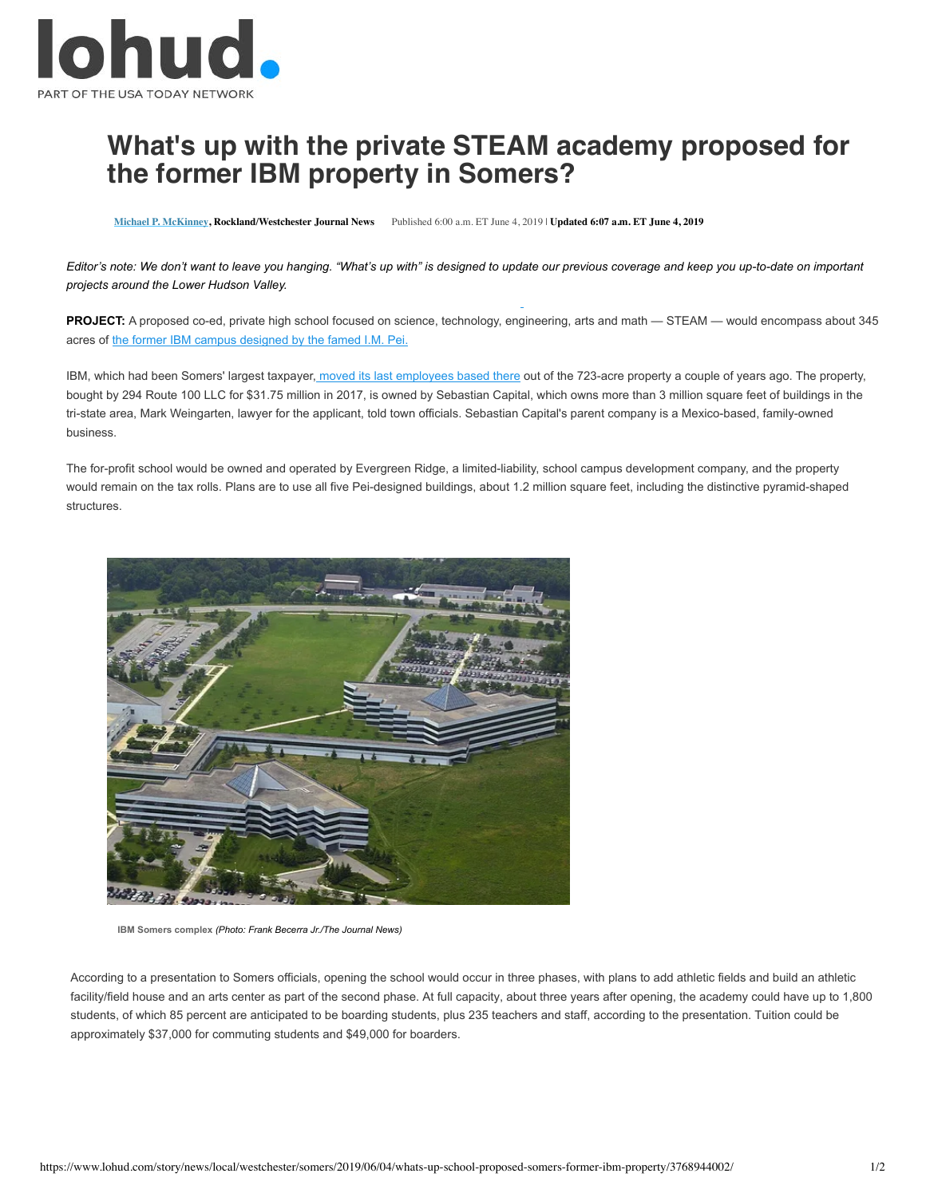

## **What's up with the private STEAM academy proposed for t[he form](http://www.lohud.com/staff/10047656/michael-p-mckinney/)er IBM property in Somers?**

**Michael P. McKinney, Rockland/Westchester Journal News** Published 6:00 a.m. ET June 4, 2019 | **Updated 6:07 a.m. ET June 4, 2019**

Editor's [note: We don't want to leave you hanging. "What's up with](https://www.lohud.com/story/news/local/2019/05/17/im-pei-architect-worked-westchester-putnam-projects/3705935002/)" is designed to update our previous coverage and keep you up-to-date on important *projects around the Lower Hudson Valley.*

PROJECT: A proposed co-ed, private high school focused on science, technology, engineering, arts and math - STEAM - would encompass about 345 acres of the former IBM campus designed by the famed I.M. Pei.

IBM, which had been Somers' largest taxpayer, [moved its last employees based there](https://www.lohud.com/story/news/local/westchester/2016/05/31/somers-officials-ibm/84899384/) out of the 723-acre property a couple of years ago. The property, bought by 294 Route 100 LLC for \$31.75 million in 2017, is owned by Sebastian Capital, which owns more than 3 million square feet of buildings in the tri-state area, Mark Weingarten, lawyer for the applicant, told town officials. Sebastian Capital's parent company is a Mexico-based, family-owned business.

The for-profit school would be owned and operated by Evergreen Ridge, a limited-liability, school campus development company, and the property would remain on the tax rolls. Plans are to use all five Pei-designed buildings, about 1.2 million square feet, including the distinctive pyramid-shaped **structures** 



**IBM Somers complex** *(Photo: Frank Becerra Jr./The Journal News)*

According to a presentation to Somers officials, opening the school would occur in three phases, with plans to add athletic fields and build an athletic facility/field house and an arts center as part of the second phase. At full capacity, about three years after opening, the academy could have up to 1,800 students, of which 85 percent are anticipated to be boarding students, plus 235 teachers and staff, according to the presentation. Tuition could be approximately \$37,000 for commuting students and \$49,000 for boarders.